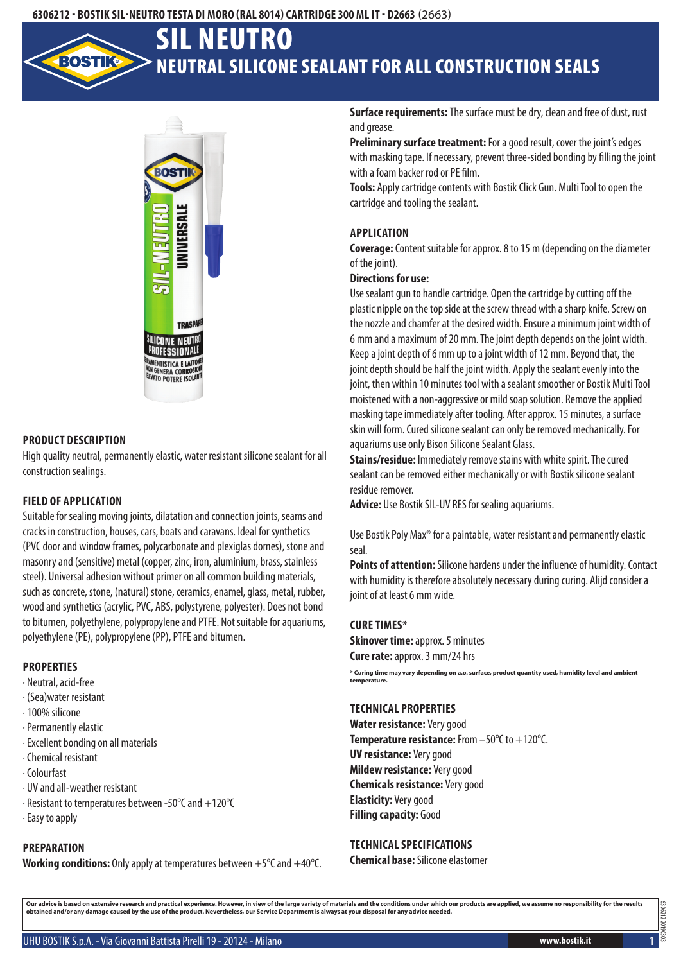# Neutral silicone sealant for all construction seals SIL Neutro



## **Product description**

High quality neutral, permanently elastic, water resistant silicone sealant for all construction sealings.

## **Field of application**

Suitable for sealing moving joints, dilatation and connection joints, seams and cracks in construction, houses, cars, boats and caravans. Ideal for synthetics (PVC door and window frames, polycarbonate and plexiglas domes), stone and masonry and (sensitive) metal (copper, zinc, iron, aluminium, brass, stainless steel). Universal adhesion without primer on all common building materials, such as concrete, stone, (natural) stone, ceramics, enamel, glass, metal, rubber, wood and synthetics (acrylic, PVC, ABS, polystyrene, polyester). Does not bond to bitumen, polyethylene, polypropylene and PTFE. Not suitable for aquariums, polyethylene (PE), polypropylene (PP), PTFE and bitumen.

#### **Properties**

- · Neutral, acid-free
- · (Sea)water resistant
- · 100% silicone
- · Permanently elastic
- · Excellent bonding on all materials
- · Chemical resistant
- · Colourfast
- · UV and all-weather resistant
- · Resistant to temperatures between -50°C and +120°C
- · Easy to apply

# **Preparation**

**Working conditions:** Only apply at temperatures between +5°C and +40°C.

**Surface requirements:** The surface must be dry, clean and free of dust, rust and grease.

**Preliminary surface treatment:** For a good result, cover the joint's edges with masking tape. If necessary, prevent three-sided bonding by filling the joint with a foam backer rod or PE film.

**Tools:** Apply cartridge contents with Bostik Click Gun. Multi Tool to open the cartridge and tooling the sealant.

## **Application**

**Coverage:** Content suitable for approx. 8 to 15 m (depending on the diameter of the joint).

## **Directions for use:**

Use sealant gun to handle cartridge. Open the cartridge by cutting off the plastic nipple on the top side at the screw thread with a sharp knife. Screw on the nozzle and chamfer at the desired width. Ensure a minimum joint width of 6 mm and a maximum of 20 mm. The joint depth depends on the joint width. Keep a joint depth of 6 mm up to a joint width of 12 mm. Beyond that, the joint depth should be half the joint width. Apply the sealant evenly into the joint, then within 10 minutes tool with a sealant smoother or Bostik Multi Tool moistened with a non-aggressive or mild soap solution. Remove the applied masking tape immediately after tooling. After approx. 15 minutes, a surface skin will form. Cured silicone sealant can only be removed mechanically. For aquariums use only Bison Silicone Sealant Glass.

**Stains/residue:** Immediately remove stains with white spirit. The cured sealant can be removed either mechanically or with Bostik silicone sealant residue remover.

**Advice:** Use Bostik SIL-UV RES for sealing aquariums.

Use Bostik Poly Max® for a paintable, water resistant and permanently elastic seal.

**Points of attention:** Silicone hardens under the influence of humidity. Contact with humidity is therefore absolutely necessary during curing. Alijd consider a joint of at least 6 mm wide.

#### **Cure times\***

**Skinover time: approx. 5 minutes Cure rate:** approx. 3 mm/24 hrs

**\* Curing time may vary depending on a.o. surface, product quantity used, humidity level and ambient temperature.**

## **Technical properties**

**Water resistance:** Very good **Temperature resistance:** From –50°C to +120°C. **UV resistance:** Very good **Mildew resistance:** Very good **Chemicals resistance:** Very good **Elasticity:** Very good **Filling capacity: Good** 

#### **Technical specifications**

**Chemical base:** Silicone elastomer

Our advice is based on extensive research and practical experience. However, in view of the large variety of materials and the conditions under which our products are applied, we assume no responsibility for the results<br>ob

6306212 20190303